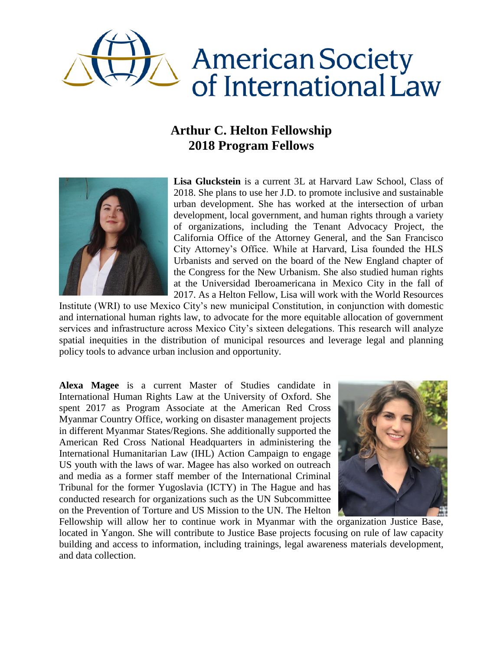

## **Arthur C. Helton Fellowship 2018 Program Fellows**



**Lisa Gluckstein** is a current 3L at Harvard Law School, Class of 2018. She plans to use her J.D. to promote inclusive and sustainable urban development. She has worked at the intersection of urban development, local government, and human rights through a variety of organizations, including the Tenant Advocacy Project, the California Office of the Attorney General, and the San Francisco City Attorney's Office. While at Harvard, Lisa founded the HLS Urbanists and served on the board of the New England chapter of the Congress for the New Urbanism. She also studied human rights at the Universidad Iberoamericana in Mexico City in the fall of 2017. As a Helton Fellow, Lisa will work with the World Resources

Institute (WRI) to use Mexico City's new municipal Constitution, in conjunction with domestic and international human rights law, to advocate for the more equitable allocation of government services and infrastructure across Mexico City's sixteen delegations. This research will analyze spatial inequities in the distribution of municipal resources and leverage legal and planning policy tools to advance urban inclusion and opportunity.

**Alexa Magee** is a current Master of Studies candidate in International Human Rights Law at the University of Oxford. She spent 2017 as Program Associate at the American Red Cross Myanmar Country Office, working on disaster management projects in different Myanmar States/Regions. She additionally supported the American Red Cross National Headquarters in administering the International Humanitarian Law (IHL) Action Campaign to engage US youth with the laws of war. Magee has also worked on outreach and media as a former staff member of the International Criminal Tribunal for the former Yugoslavia (ICTY) in The Hague and has conducted research for organizations such as the UN Subcommittee on the Prevention of Torture and US Mission to the UN. The Helton



Fellowship will allow her to continue work in Myanmar with the organization Justice Base, located in Yangon. She will contribute to Justice Base projects focusing on rule of law capacity building and access to information, including trainings, legal awareness materials development, and data collection.